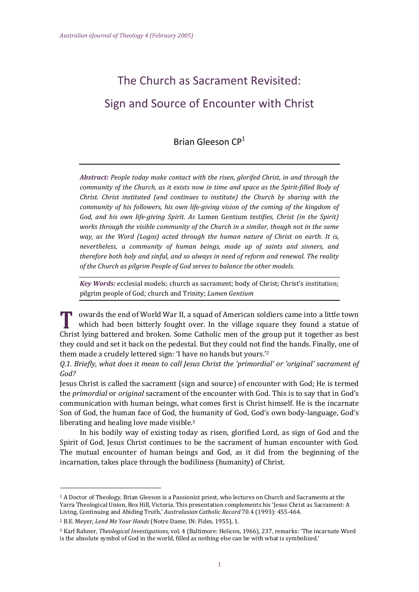# The Church as Sacrament Revisited: Sign and Source of Encounter with Christ

# Brian Gleeson CP<sup>1</sup>

*Abstract: People today make contact with the risen, glorifed Christ, in and through the community of the Church, as it exists now in time and space as the Spirit-filled Body of Christ. Christ instituted (and continues to institute) the Church by sharing with the community of his followers, his own life-giving vision of the coming of the kingdom of God, and his own life-giving Spirit. As* Lumen Gentium *testifies, Christ (in the Spirit) works through the visible community of the Church in a similar, though not in the same way, as the Word (Logos) acted through the human nature of Christ on earth. It is, nevertheless, a community of human beings, made up of saints and sinners, and therefore both holy and sinful, and so always in need of reform and renewal. The reality of the Church as pilgrim People of God serves to balance the other models.*

*Key Words:* ecclesial models; church as sacrament; body of Christ; Christ's institution; pilgrim people of God; church and Trinity; *Lumen Gentium*

**u** owards the end of World War II, a squad of American soldiers came into a little town which had been bitterly fought over. In the village square they found a statue of Christ lying battered and broken. Some Catholic men of the group put it together as best they could and set it back on the pedestal. But they could not find the hands. Finally, one of them made a crudely lettered sign: 'I have no hands but yours.' 2

Q.1. Briefly, what does it mean to call Jesus Christ the 'primordial' or 'original' sacrament of *God?*

Jesus Christ is called the sacrament (sign and source) of encounter with God; He is termed the *primordial* or *original* sacrament of the encounter with God. This is to say that in God's communication with human beings, what comes first is Christ himself. He is the incarnate Son of God, the human face of God, the humanity of God, God's own body-language, God's liberating and healing love made visible.<sup>3</sup>

In his bodily way of existing today as risen, glorified Lord, as sign of God and the Spirit of God, Jesus Christ continues to be the sacrament of human encounter with God. The mutual encounter of human beings and God, as it did from the beginning of the incarnation, takes place through the bodiliness (humanity) of Christ.

-

<sup>1</sup> A Doctor of Theology, Brian Gleeson is a Passionist priest, who lectures on Church and Sacraments at the Yarra Theological Union, Box Hill, Victoria. This presentation complements his 'Jesus Christ as Sacrament: A Living, Continuing and Abiding Truth,' *Australasian Catholic Record* 70.4 (1993): 455-464.

<sup>2</sup> B.E. Meyer, *Lend Me Your Hands* (Notre Dame, IN: Fides, 1955), 1.

<sup>3</sup> Karl Rahner, *Theological Investigations*, vol. 4 (Baltimore: Helicon, 1966), 237, remarks: 'The incarnate Word is the absolute symbol of God in the world, filled as nothing else can be with what is symbolized.'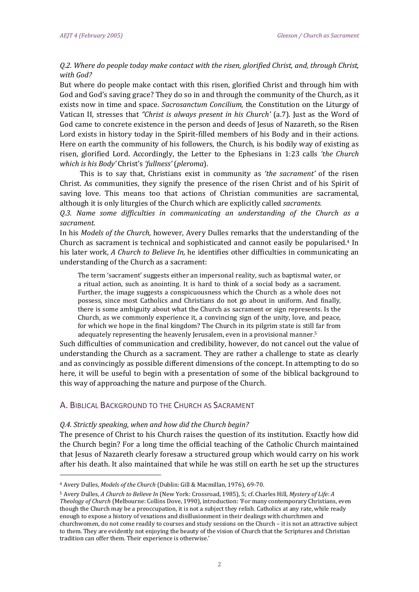# *Q.2. Where do people today make contact with the risen, glorified Christ, and, through Christ, with God?*

But where do people make contact with this risen, glorified Christ and through him with God and God's saving grace? They do so in and through the community of the Church, as it exists now in time and space. *Sacrosanctum Concilium,* the Constitution on the Liturgy of Vatican II, stresses that *"Christ is always present in his Church'* (a.7). Just as the Word of God came to concrete existence in the person and deeds of Jesus of Nazareth, so the Risen Lord exists in history today in the Spirit-filled members of his Body and in their actions. Here on earth the community of his followers, the Church, is his bodily way of existing as risen, glorified Lord. Accordingly, the Letter to the Ephesians in 1:23 calls *'the Church which is his Body'* Christ's *'fullness'* (*pleroma*).

This is to say that, Christians exist in community as *'the sacrament'* of the risen Christ. As communities, they signify the presence of the risen Christ and of his Spirit of saving love. This means too that actions of Christian communities are sacramental, although it is only liturgies of the Church which are explicitly called *sacraments.*

*Q.3. Name some difficulties in communicating an understanding of the Church as a sacrament.*

In his *Models of the Church,* however, Avery Dulles remarks that the understanding of the Church as sacrament is technical and sophisticated and cannot easily be popularised.<sup>4</sup> In his later work, *A Church to Believe In,* he identifies other difficulties in communicating an understanding of the Church as a sacrament:

The term 'sacrament' suggests either an impersonal reality, such as baptismal water, or a ritual action, such as anointing. It is hard to think of a social body as a sacrament. Further, the image suggests a conspicuousness which the Church as a whole does not possess, since most Catholics and Christians do not go about in uniform. And finally, there is some ambiguity about what the Church as sacrament or sign represents. Is the Church, as we commonly experience it, a convincing sign of the unity, love, and peace, for which we hope in the final kingdom? The Church in its pilgrim state is still far from adequately representing the heavenly Jerusalem, even in a provisional manner.<sup>5</sup>

Such difficulties of communication and credibility, however, do not cancel out the value of understanding the Church as a sacrament. They are rather a challenge to state as clearly and as convincingly as possible different dimensions of the concept. In attempting to do so here, it will be useful to begin with a presentation of some of the biblical background to this way of approaching the nature and purpose of the Church.

# A. BIBLICAL BACKGROUND TO THE CHURCH AS SACRAMENT

#### *Q.4. Strictly speaking, when and how did the Church begin?*

The presence of Christ to his Church raises the question of its institution. Exactly how did the Church begin? For a long time the official teaching of the Catholic Church maintained that Jesus of Nazareth clearly foresaw a structured group which would carry on his work after his death. It also maintained that while he was still on earth he set up the structures

.<br>-

<sup>4</sup> Avery Dulles, *Models of the Church* (Dublin: Gill & Macmillan, 1976), 69-70.

<sup>5</sup> Avery Dulles, *A Church to Believe In* (New York: Crossroad, 1985), 5; cf. Charles Hill, *Mystery of Life: A Theology of Church* (Melbourne: Collins Dove, 1990), introduction: 'For many contemporary Christians, even though the Church may be a preoccupation, it is not a subject they relish. Catholics at any rate, while ready enough to expose a history of vexations and disillusionment in their dealings with churchmen and churchwomen, do not come readily to courses and study sessions on the Church – it is not an attractive subject to them. They are evidently not enjoying the beauty of the vision of Church that the Scriptures and Christian tradition can offer them. Their experience is otherwise.'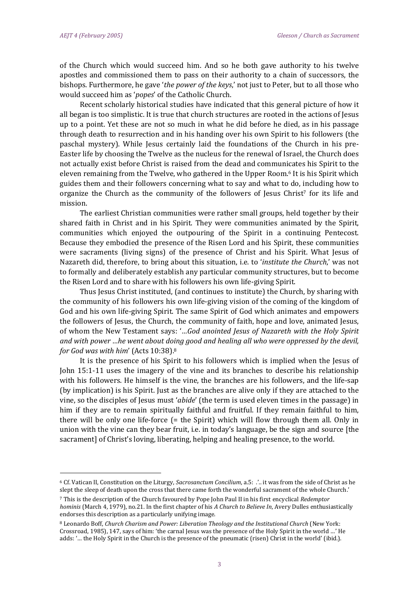.<br>-

of the Church which would succeed him. And so he both gave authority to his twelve apostles and commissioned them to pass on their authority to a chain of successors, the bishops. Furthermore, he gave '*the power of the keys*,' not just to Peter, but to all those who would succeed him as '*popes*' of the Catholic Church.

Recent scholarly historical studies have indicated that this general picture of how it all began is too simplistic. It is true that church structures are rooted in the actions of Jesus up to a point. Yet these are not so much in what he did before he died, as in his passage through death to resurrection and in his handing over his own Spirit to his followers (the paschal mystery). While Jesus certainly laid the foundations of the Church in his pre-Easter life by choosing the Twelve as the nucleus for the renewal of Israel, the Church does not actually exist before Christ is raised from the dead and communicates his Spirit to the eleven remaining from the Twelve, who gathered in the Upper Room.<sup>6</sup> It is his Spirit which guides them and their followers concerning what to say and what to do, including how to organize the Church as the community of the followers of Jesus Christ<sup>7</sup> for its life and mission.

The earliest Christian communities were rather small groups, held together by their shared faith in Christ and in his Spirit. They were communities animated by the Spirit, communities which enjoyed the outpouring of the Spirit in a continuing Pentecost. Because they embodied the presence of the Risen Lord and his Spirit, these communities were sacraments (living signs) of the presence of Christ and his Spirit. What Jesus of Nazareth did, therefore, to bring about this situation, i.e. to '*institute the Church*,' was not to formally and deliberately establish any particular community structures, but to become the Risen Lord and to share with his followers his own life-giving Spirit.

Thus Jesus Christ instituted, (and continues to institute) the Church, by sharing with the community of his followers his own life-giving vision of the coming of the kingdom of God and his own life-giving Spirit. The same Spirit of God which animates and empowers the followers of Jesus, the Church, the community of faith, hope and love, animated Jesus, of whom the New Testament says: '*…God anointed Jesus of Nazareth with the Holy Spirit and with power …he went about doing good and healing all who were oppressed by the devil, for God was with him*' (Acts 10:38).<sup>8</sup>

It is the presence of his Spirit to his followers which is implied when the Jesus of John 15:1-11 uses the imagery of the vine and its branches to describe his relationship with his followers. He himself is the vine, the branches are his followers, and the life-sap (by implication) is his Spirit. Just as the branches are alive only if they are attached to the vine, so the disciples of Jesus must '*abide*' (the term is used eleven times in the passage) in him if they are to remain spiritually faithful and fruitful. If they remain faithful to him, there will be only one life-force (= the Spirit) which will flow through them all. Only in union with the vine can they bear fruit, i.e. in today's language, be the sign and source [the sacrament] of Christ's loving, liberating, helping and healing presence, to the world.

<sup>6</sup> Cf. Vatican II, Constitution on the Liturgy, *Sacrosanctum Concilium*, a.5: .'.. it was from the side of Christ as he slept the sleep of death upon the cross that there came forth the wonderful sacrament of the whole Church.'

<sup>7</sup> This is the description of the Church favoured by Pope John Paul II in his first encyclical *Redemptor hominis* (March 4, 1979), no.21. In the first chapter of his *A Church to Believe In*, Avery Dulles enthusiastically endorses this description as a particularly unifying image.

<sup>8</sup> Leonardo Boff, *Church Charism and Power: Liberation Theology and the Institutional Church* (New York: Crossroad, 1985), 147, says of him: 'the carnal Jesus was the presence of the Holy Spirit in the world …' He adds: '… the Holy Spirit in the Church is the presence of the pneumatic (risen) Christ in the world' (ibid.).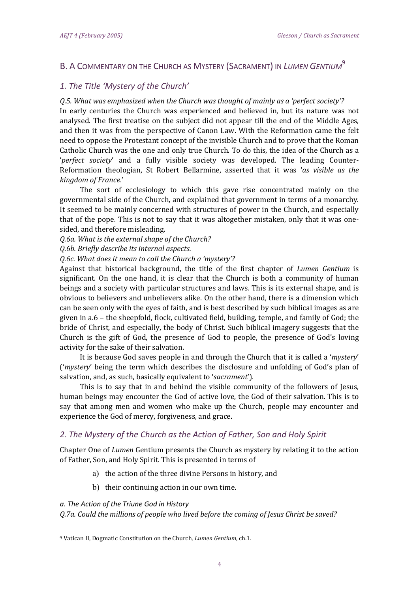# B. A COMMENTARY ON THE CHURCH AS MYSTERY (SACRAMENT) IN *LUMEN GENTIUM*<sup>9</sup>

# *1. The Title 'Mystery of the Church'*

# *Q.5. What was emphasized when the Church was thought of mainly as a 'perfect society'?*

In early centuries the Church was experienced and believed in, but its nature was not analysed. The first treatise on the subject did not appear till the end of the Middle Ages, and then it was from the perspective of Canon Law. With the Reformation came the felt need to oppose the Protestant concept of the invisible Church and to prove that the Roman Catholic Church was the one and only true Church. To do this, the idea of the Church as a '*perfect society*' and a fully visible society was developed. The leading Counter-Reformation theologian, St Robert Bellarmine, asserted that it was '*as visible as the kingdom of France*.'

The sort of ecclesiology to which this gave rise concentrated mainly on the governmental side of the Church, and explained that government in terms of a monarchy. It seemed to be mainly concerned with structures of power in the Church, and especially that of the pope. This is not to say that it was altogether mistaken, only that it was onesided, and therefore misleading.

*Q.6a. What is the external shape of the Church?*

*Q.6b. Briefly describe its internal aspects.*

*Q.6c. What does it mean to call the Church a 'mystery'?*

Against that historical background, the title of the first chapter of *Lumen Gentium* is significant. On the one hand, it is clear that the Church is both a community of human beings and a society with particular structures and laws. This is its external shape, and is obvious to believers and unbelievers alike. On the other hand, there is a dimension which can be seen only with the eyes of faith, and is best described by such biblical images as are given in a.6 – the sheepfold, flock, cultivated field, building, temple, and family of God; the bride of Christ, and especially, the body of Christ. Such biblical imagery suggests that the Church is the gift of God, the presence of God to people, the presence of God's loving activity for the sake of their salvation.

It is because God saves people in and through the Church that it is called a '*mystery*' ('*mystery*' being the term which describes the disclosure and unfolding of God's plan of salvation, and, as such, basically equivalent to '*sacrament*').

This is to say that in and behind the visible community of the followers of Jesus, human beings may encounter the God of active love, the God of their salvation. This is to say that among men and women who make up the Church, people may encounter and experience the God of mercy, forgiveness, and grace.

# *2. The Mystery of the Church as the Action of Father, Son and Holy Spirit*

Chapter One of *Lumen* Gentium presents the Church as mystery by relating it to the action of Father, Son, and Holy Spirit. This is presented in terms of

- a) the action of the three divine Persons in history, and
- b) their continuing action in our own time.

#### *a. The Action of the Triune God in History*

.<br>-

*Q.7a. Could the millions of people who lived before the coming of Jesus Christ be saved?*

<sup>9</sup> Vatican II, Dogmatic Constitution on the Church, *Lumen Gentium*, ch.1.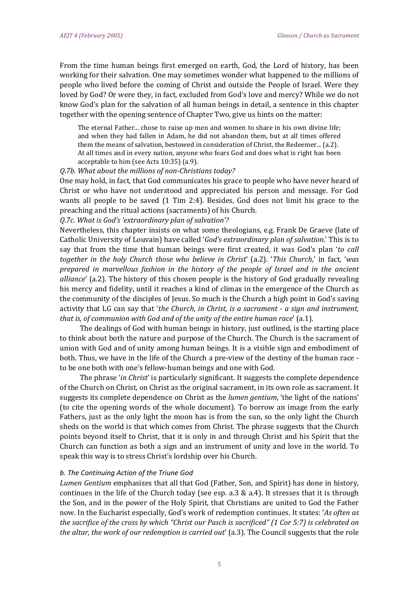From the time human beings first emerged on earth, God, the Lord of history, has been working for their salvation. One may sometimes wonder what happened to the millions of people who lived before the coming of Christ and outside the People of Israel. Were they loved by God? Or were they, in fact, excluded from God's love and mercy? While we do not know God's plan for the salvation of all human beings in detail, a sentence in this chapter together with the opening sentence of Chapter Two, give us hints on the matter:

The eternal Father... chose to raise up men and women to share in his own divine life; and when they had fallen in Adam, he did not abandon them, but at all times offered them the means of salvation, bestowed in consideration of Christ, the Redeemer... (a.2). At all times and in every nation, anyone who fears God and does what is right has been acceptable to him (see Acts 10:35) (a.9).

#### *Q.7b. What about the millions of non-Christians today?*

One may hold, in fact, that God communicates his grace to people who have never heard of Christ or who have not understood and appreciated his person and message. For God wants all people to be saved (1 Tim 2:4). Besides, God does not limit his grace to the preaching and the ritual actions (sacraments) of his Church.

#### *Q.7c. What is God's 'extraordinary plan of salvation'?*

Nevertheless, this chapter insists on what some theologians, e.g. Frank De Graeve (late of Catholic University of Louvain) have called '*God's extraordinary plan of salvation*.' This is to say that from the time that human beings were first created, it was God's plan '*to call together in the holy Church those who believe in Christ*' (a.2). '*This Church*,' in fact, '*was prepared in marvellous fashion in the history of the people of Israel and in the ancient alliance*' (a.2). The history of this chosen people is the history of God gradually revealing his mercy and fidelity, until it reaches a kind of climax in the emergence of the Church as the community of the disciples of Jesus. So much is the Church a high point in God's saving activity that LG can say that '*the Church, in Christ, is a sacrament - a sign and instrument, that is, of communion with God and of the unity of the entire human race*' (a.1).

The dealings of God with human beings in history, just outlined, is the starting place to think about both the nature and purpose of the Church. The Church is the sacrament of union with God and of unity among human beings. It is a visible sign and embodiment of both. Thus, we have in the life of the Church a pre-view of the destiny of the human race to be one both with one's fellow-human beings and one with God.

The phrase '*in Christ*' is particularly significant. It suggests the complete dependence of the Church on Christ, on Christ as the original sacrament, in its own role as sacrament. It suggests its complete dependence on Christ as the *lumen gentium*, 'the light of the nations' (to cite the opening words of the whole document). To borrow an image from the early Fathers, just as the only light the moon has is from the sun, so the only light the Church sheds on the world is that which comes from Christ. The phrase suggests that the Church points beyond itself to Christ, that it is only in and through Christ and his Spirit that the Church can function as both a sign and an instrument of unity and love in the world. To speak this way is to stress Christ's lordship over his Church.

#### *b. The Continuing Action of the Triune God*

*Lumen Gentium* emphasizes that all that God (Father, Son, and Spirit) has done in history, continues in the life of the Church today (see esp.  $a.3 \& a.4$ ). It stresses that it is through the Son, and in the power of the Holy Spirit, that Christians are united to God the Father now. In the Eucharist especially, God's work of redemption continues. It states: '*As often as* the sacrifice of the cross by which "Christ our Pasch is sacrificed" (1 Cor 5:7) is celebrated on *the altar, the work of our redemption is carried out*' (a.3). The Council suggests that the role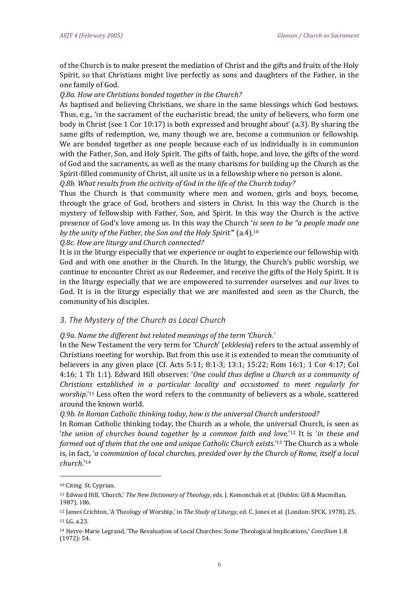of the Church is to make present the mediation of Christ and the gifts and fruits of the Holy Spirit, so that Christians might live perfectly as sons and daughters of the Father, in the one family of God.

#### *Q.8a. How are Christians bonded together in the Church?*

As baptised and believing Christians, we share in the same blessings which God bestows. Thus, e.g., 'in the sacrament of the eucharistic bread, the unity of believers, who form one body in Christ (see 1 Cor 10:17) is both expressed and brought about' (a.3). By sharing the same gifts of redemption, we, many though we are, become a communion or fellowship. We are bonded together as one people because each of us individually is in communion with the Father, Son, and Holy Spirit. The gifts of faith, hope, and love, the gifts of the word of God and the sacraments, as well as the many charisms for building up the Church as the Spirit-filled community of Christ, all unite us in a fellowship where no person is alone.

*Q.8b. What results from the activity of God in the life of the Church today?*

Thus the Church is that community where men and women, girls and boys, become, through the grace of God, brothers and sisters in Christ. In this way the Church is the mystery of fellowship with Father, Son, and Spirit. In this way the Church is the active presence of God's love among us. In this way the Church '*is seen to be "a people made one by the unity of the Father, the Son and the Holy Spirit"*' (a.4).<sup>10</sup>

*Q.8c. How are liturgy and Church connected?*

It is in the liturgy especially that we experience or ought to experience our fellowship with God and with one another in the Church. In the liturgy, the Church's public worship, we continue to encounter Christ as our Redeemer, and receive the gifts of the Holy Spirit. It is in the liturgy especially that we are empowered to surrender ourselves and our lives to God. It is in the liturgy especially that we are manifested and seen as the Church, the community of his disciples.

#### *3. The Mystery of the Church as Local Church*

#### *Q.9a. Name the different but related meanings of the term 'Church.'*

In the New Testament the very term for 'C*hurch*' (*ekklesia*) refers to the actual assembly of Christians meeting for worship. But from this use it is extended to mean the community of believers in any given place (Cf. Acts 5:11; 8:1-3; 13:1; 15:22; Rom 16:1; 1 Cor 4:17; Col 4:16; 1 Th 1:1). Edward Hill observes: '*One could thus define a Church as a community of Christians established in a particular locality and accustomed to meet regularly for worship*.' <sup>11</sup> Less often the word refers to the community of believers as a whole, scattered around the known world.

*Q.9b. In Roman Catholic thinking today, how is the universal Church understood?*

In Roman Catholic thinking today, the Church as a whole, the universal Church, is seen as '*the union of churches bound together by a common faith and love*.'<sup>12</sup> It is '*in these and formed out of them that the one and unique Catholic Church exists*.'<sup>13</sup> The Church as a whole is, in fact, '*a communion of local churches, presided over by the Church of Rome, itself a local church*.'<sup>14</sup>

-

<sup>10</sup> Citing St. Cyprian.

<sup>11</sup> Edward Hill, 'Church,' *The New Dictionary of Theology*, eds. J. Komonchak et al. (Dublin: Gill & Macmillan, 1987), 186.

<sup>12</sup> James Crichton, 'A Theology of Worship,' in *The Study of Liturgy*, ed. C. Jones et al. (London: SPCK, 1978), 25. 13 LG, a.23.

<sup>14</sup> Herve-Marie Legrand, 'The Revaluation of Local Churches: Some Theological Implications,' *Concilium* 1.8 (1972): 54.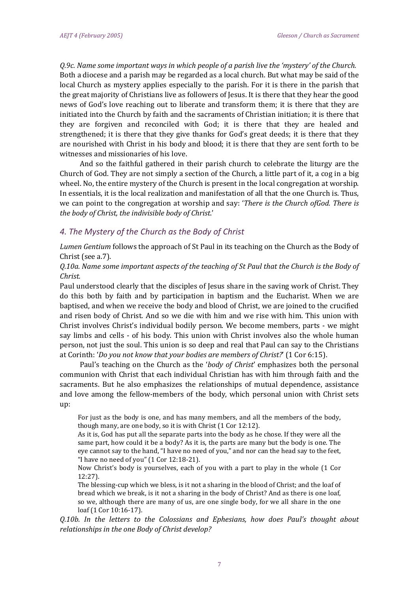Q.9c. Name some important ways in which people of a parish live the 'mystery' of the Church. Both a diocese and a parish may be regarded as a local church. But what may be said of the local Church as mystery applies especially to the parish. For it is there in the parish that the great majority of Christians live as followers of Jesus. It is there that they hear the good news of God's love reaching out to liberate and transform them; it is there that they are initiated into the Church by faith and the sacraments of Christian initiation; it is there that they are forgiven and reconciled with God; it is there that they are healed and strengthened; it is there that they give thanks for God's great deeds; it is there that they are nourished with Christ in his body and blood; it is there that they are sent forth to be witnesses and missionaries of his love.

And so the faithful gathered in their parish church to celebrate the liturgy are the Church of God. They are not simply a section of the Church, a little part of it, a cog in a big wheel. No, the entire mystery of the Church is present in the local congregation at worship. In essentials, it is the local realization and manifestation of all that the one Church is. Thus, we can point to the congregation at worship and say: '*There is the Church ofGod. There is the body of Christ, the indivisible body of Christ*.'

## *4. The Mystery of the Church as the Body of Christ*

*Lumen Gentium* follows the approach of St Paul in its teaching on the Church as the Body of Christ (see a.7).

*Q.10a. Name some important aspects of the teaching of St Paul that the Church is the Body of Christ.*

Paul understood clearly that the disciples of Jesus share in the saving work of Christ. They do this both by faith and by participation in baptism and the Eucharist. When we are baptised, and when we receive the body and blood of Christ, we are joined to the crucified and risen body of Christ. And so we die with him and we rise with him. This union with Christ involves Christ's individual bodily person. We become members, parts - we might say limbs and cells - of his body. This union with Christ involves also the whole human person, not just the soul. This union is so deep and real that Paul can say to the Christians at Corinth: '*Do you not know that your bodies are members of Christ?*' (1 Cor 6:15).

Paul's teaching on the Church as the '*body of Christ*' emphasizes both the personal communion with Christ that each individual Christian has with him through faith and the sacraments. But he also emphasizes the relationships of mutual dependence, assistance and love among the fellow-members of the body, which personal union with Christ sets up:

For just as the body is one, and has many members, and all the members of the body, though many, are one body, so it is with Christ (1 Cor 12:12).

As it is, God has put all the separate parts into the body as he chose. If they were all the same part, how could it be a body? As it is, the parts are many but the body is one. The eye cannot say to the hand, "I have no need of you," and nor can the head say to the feet, "I have no need of you" (1 Cor 12:18-21).

Now Christ's body is yourselves, each of you with a part to play in the whole (1 Cor 12:27).

The blessing-cup which we bless, is it not a sharing in the blood of Christ; and the loaf of bread which we break, is it not a sharing in the body of Christ? And as there is one loaf, so we, although there are many of us, are one single body, for we all share in the one loaf (1 Cor 10:16-17).

*Q.10b. In the letters to the Colossians and Ephesians, how does Paul's thought about relationships in the one Body of Christ develop?*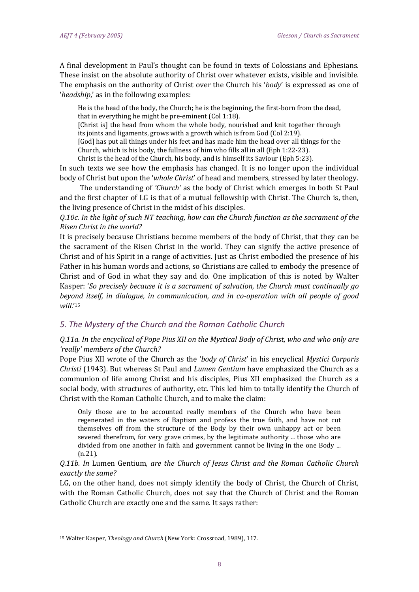A final development in Paul's thought can be found in texts of Colossians and Ephesians. These insist on the absolute authority of Christ over whatever exists, visible and invisible. The emphasis on the authority of Christ over the Church his '*body*' is expressed as one of '*headship*,' as in the following examples:

He is the head of the body, the Church; he is the beginning, the first-born from the dead, that in everything he might be pre-eminent (Col 1:18).

[Christ is] the head from whom the whole body, nourished and knit together through its joints and ligaments, grows with a growth which is from God (Col 2:19).

[God] has put all things under his feet and has made him the head over all things for the Church, which is his body, the fullness of him who fills all in all (Eph 1:22-23).

Christ is the head of the Church, his body, and is himself its Saviour (Eph 5:23).

In such texts we see how the emphasis has changed. It is no longer upon the individual body of Christ but upon the '*whole Christ*' of head and members, stressed by later theology.

The understanding of *'Church'* as the body of Christ which emerges in both St Paul and the first chapter of LG is that of a mutual fellowship with Christ. The Church is, then, the living presence of Christ in the midst of his disciples.

*Q.10c. In the light of such NT teaching, how can the Church function as the sacrament of the Risen Christ in the world?*

It is precisely because Christians become members of the body of Christ, that they can be the sacrament of the Risen Christ in the world. They can signify the active presence of Christ and of his Spirit in a range of activities. Just as Christ embodied the presence of his Father in his human words and actions, so Christians are called to embody the presence of Christ and of God in what they say and do. One implication of this is noted by Walter Kasper: '*So precisely because it is a sacrament of salvation, the Church must continually go beyond itself, in dialogue, in communication, and in co-operation with all people of good will*.' 15

# *5. The Mystery of the Church and the Roman Catholic Church*

# Q.11a. In the encyclical of Pope Pius XII on the Mystical Body of Christ, who and who only are *'really' members of the Church?*

Pope Pius XII wrote of the Church as the '*body of Christ*' in his encyclical *Mystici Corporis Christi* (1943). But whereas St Paul and *Lumen Gentium* have emphasized the Church as a communion of life among Christ and his disciples, Pius XII emphasized the Church as a social body, with structures of authority, etc. This led him to totally identify the Church of Christ with the Roman Catholic Church, and to make the claim:

Only those are to be accounted really members of the Church who have been regenerated in the waters of Baptism and profess the true faith, and have not cut themselves off from the structure of the Body by their own unhappy act or been severed therefrom, for very grave crimes, by the legitimate authority ... those who are divided from one another in faith and government cannot be living in the one Body ... (n.21).

## *Q.11b. In* Lumen Gentium*, are the Church of Jesus Christ and the Roman Catholic Church exactly the same?*

LG, on the other hand, does not simply identify the body of Christ, the Church of Christ, with the Roman Catholic Church, does not say that the Church of Christ and the Roman Catholic Church are exactly one and the same. It says rather:

.<br>-

<sup>15</sup> Walter Kasper, *Theology and Church* (New York: Crossroad, 1989), 117.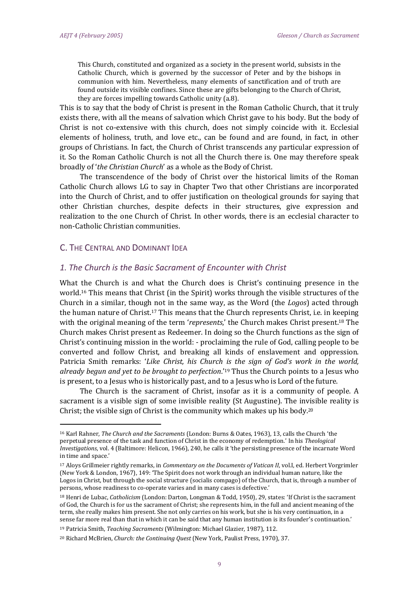This Church, constituted and organized as a society in the present world, subsists in the Catholic Church, which is governed by the successor of Peter and by the bishops in communion with him. Nevertheless, many elements of sanctification and of truth are found outside its visible confines. Since these are gifts belonging to the Church of Christ, they are forces impelling towards Catholic unity (a.8).

This is to say that the body of Christ is present in the Roman Catholic Church, that it truly exists there, with all the means of salvation which Christ gave to his body. But the body of Christ is not co-extensive with this church, does not simply coincide with it. Ecclesial elements of holiness, truth, and love etc., can be found and are found, in fact, in other groups of Christians. In fact, the Church of Christ transcends any particular expression of it. So the Roman Catholic Church is not all the Church there is. One may therefore speak broadly of '*the Christian Church*' as a whole as the Body of Christ.

The transcendence of the body of Christ over the historical limits of the Roman Catholic Church allows LG to say in Chapter Two that other Christians are incorporated into the Church of Christ, and to offer justification on theological grounds for saying that other Christian churches, despite defects in their structures, give expression and realization to the one Church of Christ. In other words, there is an ecclesial character to non-Catholic Christian communities.

## C. THE CENTRAL AND DOMINANT IDEA

.<br>-

#### *1. The Church is the Basic Sacrament of Encounter with Christ*

What the Church is and what the Church does is Christ's continuing presence in the world.<sup>16</sup> This means that Christ (in the Spirit) works through the visible structures of the Church in a similar, though not in the same way, as the Word (the *Logos*) acted through the human nature of Christ.<sup>17</sup> This means that the Church represents Christ, i.e. in keeping with the original meaning of the term '*represents*,' the Church makes Christ present.<sup>18</sup> The Church makes Christ present as Redeemer. In doing so the Church functions as the sign of Christ's continuing mission in the world: - proclaiming the rule of God, calling people to be converted and follow Christ, and breaking all kinds of enslavement and oppression. Patricia Smith remarks: '*Like Christ, his Church is the sign of God's work in the world, already begun and yet to be brought to perfection*.' <sup>19</sup> Thus the Church points to a Jesus who is present, to a Jesus who is historically past, and to a Jesus who is Lord of the future.

The Church is the sacrament of Christ, insofar as it is a community of people. A sacrament is a visible sign of some invisible reality (St Augustine). The invisible reality is Christ; the visible sign of Christ is the community which makes up his body.<sup>20</sup>

<sup>16</sup> Karl Rahner, *The Church and the Sacraments* (London: Burns & Oates, 1963), 13, calls the Church 'the perpetual presence of the task and function of Christ in the economy of redemption.' In his *Theological Investigations*, vol. 4 (Baltimore: Helicon, 1966), 240, he calls it 'the persisting presence of the incarnate Word in time and space.'

<sup>17</sup> Aloys Grillmeier rightly remarks, in *Commentary on the Documents of Vatican II*, vol.I, ed. Herbert Vorgrimler (New York & London, 1967), 149: 'The Spirit does not work through an individual human nature, like the Logos in Christ, but through the social structure (socialis compago) of the Church, that is, through a number of persons, whose readiness to co-operate varies and in many cases is defective.'

<sup>18</sup> Henri de Lubac, *Catholicism* (London: Darton, Longman & Todd, 1950), 29, states: 'If Christ is the sacrament of God, the Church is for us the sacrament of Christ; she represents him, in the full and ancient meaning of the term, she really makes him present. She not only carries on his work, but she is his very continuation, in a sense far more real than that in which it can be said that any human institution is its founder's continuation.'

<sup>19</sup> Patricia Smith, *Teaching Sacraments* (Wilmington: Michael Glazier, 1987), 112.

<sup>20</sup> Richard McBrien, *Church: the Continuing Quest* (New York, Paulist Press, 1970), 37.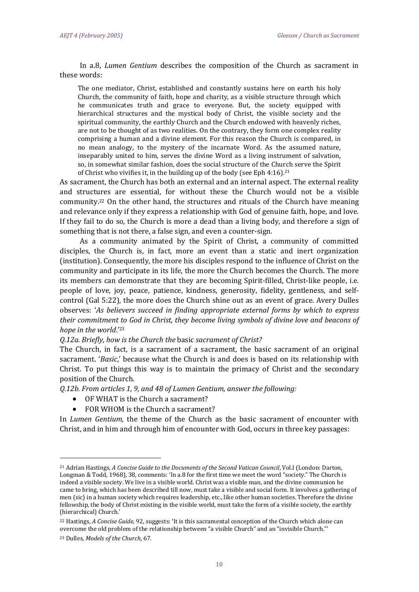In a.8, *Lumen Gentium* describes the composition of the Church as sacrament in these words:

The one mediator, Christ, established and constantly sustains here on earth his holy Church, the community of faith, hope and charity, as a visible structure through which he communicates truth and grace to everyone. But, the society equipped with hierarchical structures and the mystical body of Christ, the visible society and the spiritual community, the earthly Church and the Church endowed with heavenly riches, are not to be thought of as two realities. On the contrary, they form one complex reality comprising a human and a divine element. For this reason the Church is compared, in no mean analogy, to the mystery of the incarnate Word. As the assumed nature, inseparably united to him, serves the divine Word as a living instrument of salvation, so, in somewhat similar fashion, does the social structure of the Church serve the Spirit of Christ who vivifies it, in the building up of the body (see Eph 4:16).<sup>21</sup>

As sacrament, the Church has both an external and an internal aspect. The external reality and structures are essential, for without these the Church would not be a visible community.<sup>22</sup> On the other hand, the structures and rituals of the Church have meaning and relevance only if they express a relationship with God of genuine faith, hope, and love. If they fail to do so, the Church is more a dead than a living body, and therefore a sign of something that is not there, a false sign, and even a counter-sign.

As a community animated by the Spirit of Christ, a community of committed disciples, the Church is, in fact, more an event than a static and inert organization (institution). Consequently, the more his disciples respond to the influence of Christ on the community and participate in its life, the more the Church becomes the Church. The more its members can demonstrate that they are becoming Spirit-filled, Christ-like people, i.e. people of love, joy, peace, patience, kindness, generosity, fidelity, gentleness, and selfcontrol (Gal 5:22), the more does the Church shine out as an event of grace. Avery Dulles observes: '*As believers succeed in finding appropriate external forms by which to express their commitment to God in Christ, they become living symbols of divine love and beacons of hope in the world*.' 23

*Q.12a. Briefly, how is the Church the* basic *sacrament of Christ?*

The Church, in fact, is a sacrament of a sacrament, the basic sacrament of an original sacrament. '*Basic*,' because what the Church is and does is based on its relationship with Christ. To put things this way is to maintain the primacy of Christ and the secondary position of the Church.

*Q.12b. From articles 1, 9, and 48 of Lumen Gentium, answer the following:*

- OF WHAT is the Church a sacrament?
- FOR WHOM is the Church a sacrament?

In *Lumen Gentium*, the theme of the Church as the basic sacrament of encounter with Christ, and in him and through him of encounter with God, occurs in three key passages:

<u>.</u>

<sup>21</sup> Adrian Hastings, *A Concise Guide to the Documents of the Second Vatican Council*, Vol.I (London: Darton, Longman & Todd, 1968), 38, comments: 'In a.8 for the first time we meet the word "society." The Church is indeed a visible society. We live in a visible world. Christ was a visible man, and the divine communion he came to bring, which has been described till now, must take a visible and social form. It involves a gathering of men (sic) in a human society which requires leadership, etc., like other human societies. Therefore the divine fellowship, the body of Christ existing in the visible world, must take the form of a visible society, the earthly (hierarchical) Church.'

<sup>22</sup> Hastings, *A Concise Guide*, 92, suggests: 'It is this sacramental conception of the Church which alone can overcome the old problem of the relationship between "a visible Church" and an "invisible Church."'

<sup>23</sup> Dulles, *Models of the Church*, 67.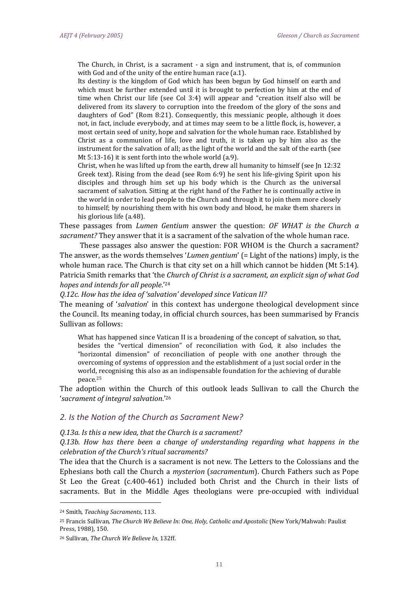The Church, in Christ, is a sacrament - a sign and instrument, that is, of communion with God and of the unity of the entire human race (a.1).

Its destiny is the kingdom of God which has been begun by God himself on earth and which must be further extended until it is brought to perfection by him at the end of time when Christ our life (see Col 3:4) will appear and "creation itself also will be delivered from its slavery to corruption into the freedom of the glory of the sons and daughters of God" (Rom 8:21). Consequently, this messianic people, although it does not, in fact, include everybody, and at times may seem to be a little flock, is, however, a most certain seed of unity, hope and salvation for the whole human race. Established by Christ as a communion of life, love and truth, it is taken up by him also as the instrument for the salvation of all; as the light of the world and the salt of the earth (see Mt 5:13-16) it is sent forth into the whole world (a.9).

Christ, when he was lifted up from the earth, drew all humanity to himself (see Jn 12:32 Greek text). Rising from the dead (see Rom 6:9) he sent his life-giving Spirit upon his disciples and through him set up his body which is the Church as the universal sacrament of salvation. Sitting at the right hand of the Father he is continually active in the world in order to lead people to the Church and through it to join them more closely to himself; by nourishing them with his own body and blood, he make them sharers in his glorious life (a.48).

These passages from *Lumen Gentium* answer the question: *OF WHAT is the Church a sacrament?* They answer that it is a sacrament of the salvation of the whole human race.

These passages also answer the question: FOR WHOM is the Church a sacrament? The answer, as the words themselves '*Lumen gentium*' (= Light of the nations) imply, is the whole human race. The Church is that city set on a hill which cannot be hidden (Mt 5:14). Patricia Smith remarks that 'the *Church of Christ is a sacrament, an explicit sign of what God hopes and intends for all people*.' 24

*Q.12c. How has the idea of 'salvation' developed since Vatican II?*

The meaning of '*salvation*' in this context has undergone theological development since the Council. Its meaning today, in official church sources, has been summarised by Francis Sullivan as follows:

What has happened since Vatican II is a broadening of the concept of salvation, so that, besides the "vertical dimension" of reconciliation with God, it also includes the "horizontal dimension" of reconciliation of people with one another through the overcoming of systems of oppression and the establishment of a just social order in the world, recognising this also as an indispensable foundation for the achieving of durable peace.<sup>25</sup>

The adoption within the Church of this outlook leads Sullivan to call the Church the '*sacrament of integral salvation*.' 26

#### *2. Is the Notion of the Church as Sacrament New?*

#### *Q.13a. Is this a new idea, that the Church is a sacrament?*

*Q.13b. How has there been a change of understanding regarding what happens in the celebration of the Church's ritual sacraments?*

The idea that the Church is a sacrament is not new. The Letters to the Colossians and the Ephesians both call the Church a *mysterion* (*sacramentum*). Church Fathers such as Pope St Leo the Great (c.400-461) included both Christ and the Church in their lists of sacraments. But in the Middle Ages theologians were pre-occupied with individual

<u>.</u>

<sup>24</sup> Smith, *Teaching Sacraments*, 113.

<sup>25</sup> Francis Sullivan, *The Church We Believe In: One, Holy, Catholic and Apostolic* (New York/Mahwah: Paulist Press, 1988), 150.

<sup>26</sup> Sullivan, *The Church We Believe In*, 132ff.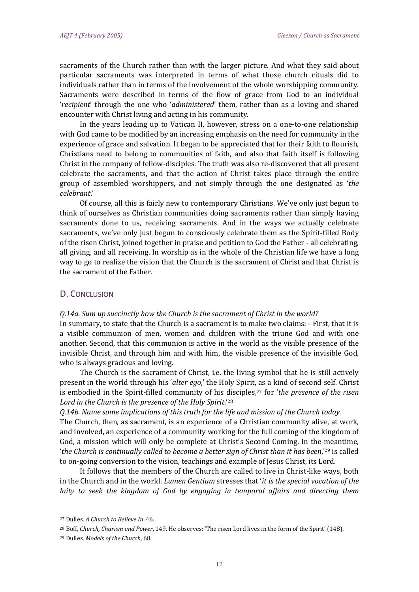sacraments of the Church rather than with the larger picture. And what they said about particular sacraments was interpreted in terms of what those church rituals did to individuals rather than in terms of the involvement of the whole worshipping community. Sacraments were described in terms of the flow of grace from God to an individual '*recipient*' through the one who '*administered*' them, rather than as a loving and shared encounter with Christ living and acting in his community.

In the years leading up to Vatican II, however, stress on a one-to-one relationship with God came to be modified by an increasing emphasis on the need for community in the experience of grace and salvation. It began to be appreciated that for their faith to flourish, Christians need to belong to communities of faith, and also that faith itself is following Christ in the company of fellow-disciples. The truth was also re-discovered that all present celebrate the sacraments, and that the action of Christ takes place through the entire group of assembled worshippers, and not simply through the one designated as '*the celebrant*.'

Of course, all this is fairly new to contemporary Christians. We've only just begun to think of ourselves as Christian communities doing sacraments rather than simply having sacraments done to us, receiving sacraments. And in the ways we actually celebrate sacraments, we've only just begun to consciously celebrate them as the Spirit-filled Body of the risen Christ, joined together in praise and petition to God the Father - all celebrating, all giving, and all receiving. In worship as in the whole of the Christian life we have a long way to go to realize the vision that the Church is the sacrament of Christ and that Christ is the sacrament of the Father.

## D. CONCLUSION

#### *Q.14a. Sum up succinctly how the Church is the sacrament of Christ in the world?*

In summary, to state that the Church is a sacrament is to make two claims: - First, that it is a visible communion of men, women and children with the triune God and with one another. Second, that this communion is active in the world as the visible presence of the invisible Christ, and through him and with him, the visible presence of the invisible God, who is always gracious and loving.

The Church is the sacrament of Christ, i.e. the living symbol that he is still actively present in the world through his '*alter ego*,' the Holy Spirit, as a kind of second self. Christ is embodied in the Spirit-filled community of his disciples,<sup>27</sup> for '*the presence of the risen Lord in the Church is the presence of the Holy Spirit*.'<sup>28</sup>

*Q.14b. Name some implications of this truth for the life and mission of the Church today.*

The Church, then, as sacrament, is an experience of a Christian community alive, at work, and involved, an experience of a community working for the full coming of the kingdom of God, a mission which will only be complete at Christ's Second Coming. In the meantime, '*the Church is continually called to become a better sign of Christ than it has been*,'<sup>29</sup> is called to on-going conversion to the vision, teachings and example of Jesus Christ, its Lord.

It follows that the members of the Church are called to live in Christ-like ways, both in the Church and in the world. *Lumen Gentium* stresses that '*it is the special vocation of the laity to seek the kingdom of God by engaging in temporal affairs and directing them*

.<br>-

<sup>27</sup> Dulles, *A Church to Believe In*, 46.

<sup>28</sup> Boff, *Church, Charism and Power*, 149. He observes: 'The risen Lord lives in the form of the Spirit' (148).

<sup>29</sup> Dulles, *Models of the Church*, 68.